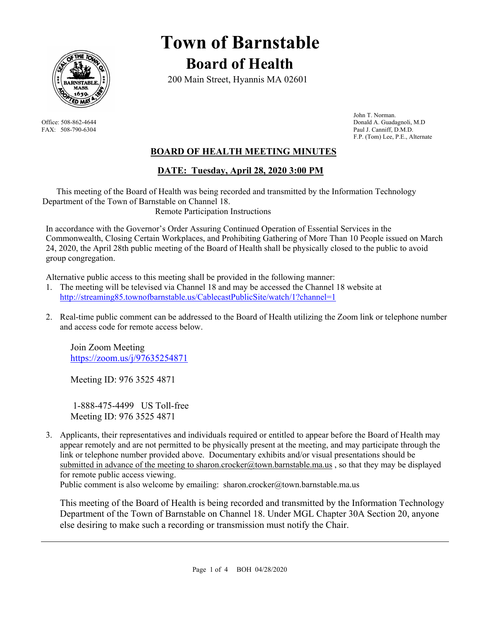

# **Town of Barnstable Board of Health**

200 Main Street, Hyannis MA 02601

 John T. Norman. Office: 508-862-4644 Donald A. Guadagnoli, M.D FAX: 508-790-6304 Paul J. Canniff, D.M.D. F.P. (Tom) Lee, P.E., Alternate

# **BOARD OF HEALTH MEETING MINUTES**

# **DATE: Tuesday, April 28, 2020 3:00 PM**

This meeting of the Board of Health was being recorded and transmitted by the Information Technology Department of the Town of Barnstable on Channel 18. Remote Participation Instructions

In accordance with the Governor's Order Assuring Continued Operation of Essential Services in the Commonwealth, Closing Certain Workplaces, and Prohibiting Gathering of More Than 10 People issued on March 24, 2020, the April 28th public meeting of the Board of Health shall be physically closed to the public to avoid group congregation.

Alternative public access to this meeting shall be provided in the following manner:

- 1. The meeting will be televised via Channel 18 and may be accessed the Channel 18 website at http://streaming85.townofbarnstable.us/CablecastPublicSite/watch/1?channel=1
- 2. Real-time public comment can be addressed to the Board of Health utilizing the Zoom link or telephone number and access code for remote access below.

Join Zoom Meeting https://zoom.us/j/97635254871

Meeting ID: 976 3525 4871

 1-888-475-4499 US Toll-free Meeting ID: 976 3525 4871

3. Applicants, their representatives and individuals required or entitled to appear before the Board of Health may appear remotely and are not permitted to be physically present at the meeting, and may participate through the link or telephone number provided above. Documentary exhibits and/or visual presentations should be submitted in advance of the meeting to sharon.crocker@town.barnstable.ma.us, so that they may be displayed for remote public access viewing.

Public comment is also welcome by emailing: sharon.crocker@town.barnstable.ma.us

This meeting of the Board of Health is being recorded and transmitted by the Information Technology Department of the Town of Barnstable on Channel 18. Under MGL Chapter 30A Section 20, anyone else desiring to make such a recording or transmission must notify the Chair.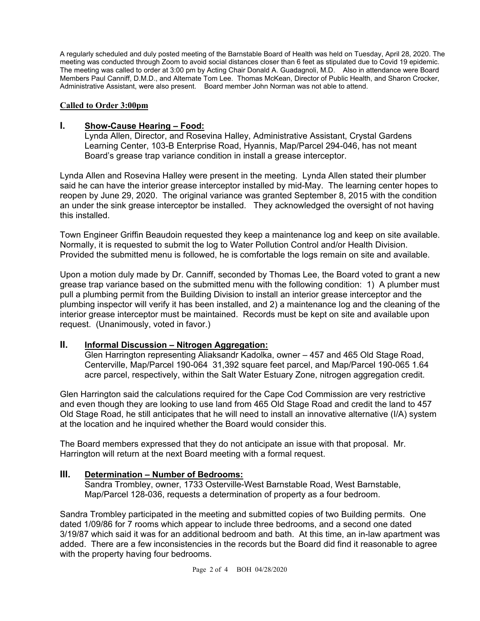A regularly scheduled and duly posted meeting of the Barnstable Board of Health was held on Tuesday, April 28, 2020. The meeting was conducted through Zoom to avoid social distances closer than 6 feet as stipulated due to Covid 19 epidemic. The meeting was called to order at 3:00 pm by Acting Chair Donald A. Guadagnoli, M.D. Also in attendance were Board Members Paul Canniff, D.M.D., and Alternate Tom Lee. Thomas McKean, Director of Public Health, and Sharon Crocker, Administrative Assistant, were also present. Board member John Norman was not able to attend.

#### **Called to Order 3:00pm**

#### **I. Show-Cause Hearing – Food:**

Lynda Allen, Director, and Rosevina Halley, Administrative Assistant, Crystal Gardens Learning Center, 103-B Enterprise Road, Hyannis, Map/Parcel 294-046, has not meant Board's grease trap variance condition in install a grease interceptor.

Lynda Allen and Rosevina Halley were present in the meeting. Lynda Allen stated their plumber said he can have the interior grease interceptor installed by mid-May. The learning center hopes to reopen by June 29, 2020. The original variance was granted September 8, 2015 with the condition an under the sink grease interceptor be installed. They acknowledged the oversight of not having this installed.

Town Engineer Griffin Beaudoin requested they keep a maintenance log and keep on site available. Normally, it is requested to submit the log to Water Pollution Control and/or Health Division. Provided the submitted menu is followed, he is comfortable the logs remain on site and available.

Upon a motion duly made by Dr. Canniff, seconded by Thomas Lee, the Board voted to grant a new grease trap variance based on the submitted menu with the following condition: 1) A plumber must pull a plumbing permit from the Building Division to install an interior grease interceptor and the plumbing inspector will verify it has been installed, and 2) a maintenance log and the cleaning of the interior grease interceptor must be maintained. Records must be kept on site and available upon request. (Unanimously, voted in favor.)

# **II. Informal Discussion – Nitrogen Aggregation:**

Glen Harrington representing Aliaksandr Kadolka, owner – 457 and 465 Old Stage Road, Centerville, Map/Parcel 190-064 31,392 square feet parcel, and Map/Parcel 190-065 1.64 acre parcel, respectively, within the Salt Water Estuary Zone, nitrogen aggregation credit.

Glen Harrington said the calculations required for the Cape Cod Commission are very restrictive and even though they are looking to use land from 465 Old Stage Road and credit the land to 457 Old Stage Road, he still anticipates that he will need to install an innovative alternative (I/A) system at the location and he inquired whether the Board would consider this.

The Board members expressed that they do not anticipate an issue with that proposal. Mr. Harrington will return at the next Board meeting with a formal request.

# **III. Determination – Number of Bedrooms:**

Sandra Trombley, owner, 1733 Osterville-West Barnstable Road, West Barnstable, Map/Parcel 128-036, requests a determination of property as a four bedroom.

Sandra Trombley participated in the meeting and submitted copies of two Building permits. One dated 1/09/86 for 7 rooms which appear to include three bedrooms, and a second one dated 3/19/87 which said it was for an additional bedroom and bath. At this time, an in-law apartment was added. There are a few inconsistencies in the records but the Board did find it reasonable to agree with the property having four bedrooms.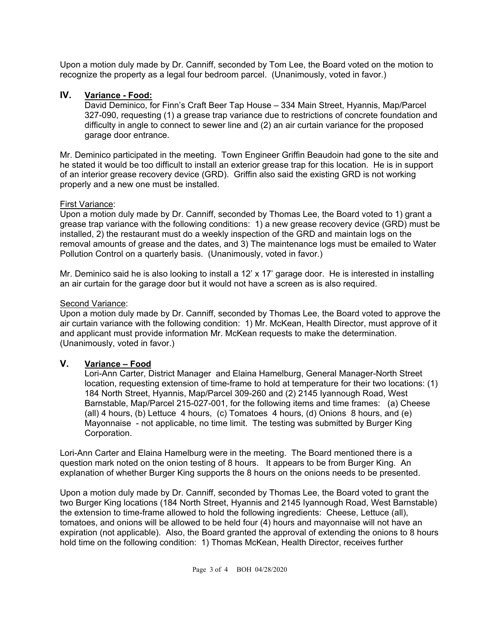Upon a motion duly made by Dr. Canniff, seconded by Tom Lee, the Board voted on the motion to recognize the property as a legal four bedroom parcel. (Unanimously, voted in favor.)

# **IV. Variance - Food:**

David Deminico, for Finn's Craft Beer Tap House – 334 Main Street, Hyannis, Map/Parcel 327-090, requesting (1) a grease trap variance due to restrictions of concrete foundation and difficulty in angle to connect to sewer line and (2) an air curtain variance for the proposed garage door entrance.

Mr. Deminico participated in the meeting. Town Engineer Griffin Beaudoin had gone to the site and he stated it would be too difficult to install an exterior grease trap for this location. He is in support of an interior grease recovery device (GRD). Griffin also said the existing GRD is not working properly and a new one must be installed.

# First Variance:

Upon a motion duly made by Dr. Canniff, seconded by Thomas Lee, the Board voted to 1) grant a grease trap variance with the following conditions: 1) a new grease recovery device (GRD) must be installed, 2) the restaurant must do a weekly inspection of the GRD and maintain logs on the removal amounts of grease and the dates, and 3) The maintenance logs must be emailed to Water Pollution Control on a quarterly basis. (Unanimously, voted in favor.)

Mr. Deminico said he is also looking to install a 12' x 17' garage door. He is interested in installing an air curtain for the garage door but it would not have a screen as is also required.

#### Second Variance:

Upon a motion duly made by Dr. Canniff, seconded by Thomas Lee, the Board voted to approve the air curtain variance with the following condition: 1) Mr. McKean, Health Director, must approve of it and applicant must provide information Mr. McKean requests to make the determination. (Unanimously, voted in favor.)

# **V. Variance – Food**

Lori-Ann Carter, District Manager and Elaina Hamelburg, General Manager-North Street location, requesting extension of time-frame to hold at temperature for their two locations: (1) 184 North Street, Hyannis, Map/Parcel 309-260 and (2) 2145 Iyannough Road, West Barnstable, Map/Parcel 215-027-001, for the following items and time frames: (a) Cheese (all) 4 hours, (b) Lettuce 4 hours, (c) Tomatoes 4 hours, (d) Onions 8 hours, and (e) Mayonnaise - not applicable, no time limit. The testing was submitted by Burger King Corporation.

Lori-Ann Carter and Elaina Hamelburg were in the meeting. The Board mentioned there is a question mark noted on the onion testing of 8 hours. It appears to be from Burger King. An explanation of whether Burger King supports the 8 hours on the onions needs to be presented.

Upon a motion duly made by Dr. Canniff, seconded by Thomas Lee, the Board voted to grant the two Burger King locations (184 North Street, Hyannis and 2145 Iyannough Road, West Barnstable) the extension to time-frame allowed to hold the following ingredients: Cheese, Lettuce (all), tomatoes, and onions will be allowed to be held four (4) hours and mayonnaise will not have an expiration (not applicable). Also, the Board granted the approval of extending the onions to 8 hours hold time on the following condition: 1) Thomas McKean, Health Director, receives further